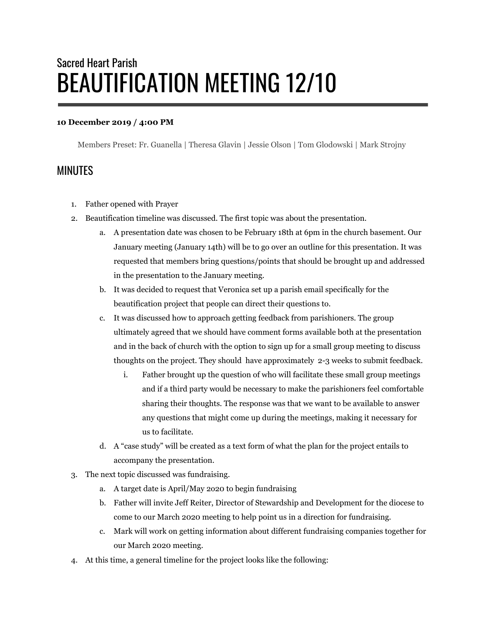## Sacred Heart Parish BEAUTIFICATION MEETING 12/10

## **10 December 2019 / 4:00 PM**

Members Preset: Fr. Guanella | Theresa Glavin | Jessie Olson | Tom Glodowski | Mark Strojny

## MINUTES

- 1. Father opened with Prayer
- 2. Beautification timeline was discussed. The first topic was about the presentation.
	- a. A presentation date was chosen to be February 18th at 6pm in the church basement. Our January meeting (January 14th) will be to go over an outline for this presentation. It was requested that members bring questions/points that should be brought up and addressed in the presentation to the January meeting.
	- b. It was decided to request that Veronica set up a parish email specifically for the beautification project that people can direct their questions to.
	- c. It was discussed how to approach getting feedback from parishioners. The group ultimately agreed that we should have comment forms available both at the presentation and in the back of church with the option to sign up for a small group meeting to discuss thoughts on the project. They should have approximately 2-3 weeks to submit feedback.
		- i. Father brought up the question of who will facilitate these small group meetings and if a third party would be necessary to make the parishioners feel comfortable sharing their thoughts. The response was that we want to be available to answer any questions that might come up during the meetings, making it necessary for us to facilitate.
	- d. A "case study" will be created as a text form of what the plan for the project entails to accompany the presentation.
- 3. The next topic discussed was fundraising.
	- a. A target date is April/May 2o20 to begin fundraising
	- b. Father will invite Jeff Reiter, Director of Stewardship and Development for the diocese to come to our March 2020 meeting to help point us in a direction for fundraising.
	- c. Mark will work on getting information about different fundraising companies together for our March 2020 meeting.
- 4. At this time, a general timeline for the project looks like the following: